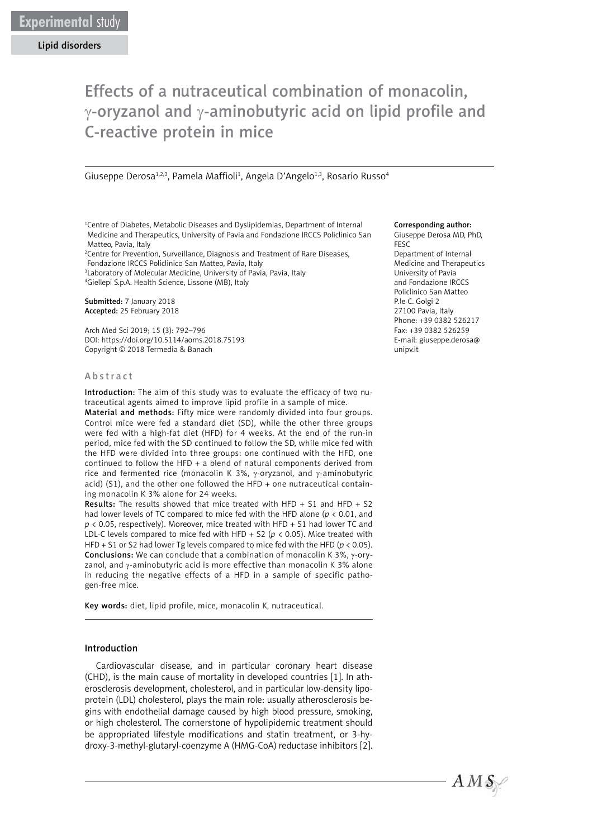Lipid disorders

# Effects of a nutraceutical combination of monacolin,  $\gamma$ -oryzanol and  $\gamma$ -aminobutyric acid on lipid profile and C-reactive protein in mice

Giuseppe Derosa<sup>1,2,3</sup>, Pamela Maffioli<sup>1</sup>, Angela D'Angelo<sup>1,3</sup>, Rosario Russo<sup>4</sup>

<sup>1</sup>Centre of Diabetes, Metabolic Diseases and Dyslipidemias, Department of Internal Medicine and Therapeutics, University of Pavia and Fondazione IRCCS Policlinico San Matteo, Pavia, Italy

<sup>2</sup> Centre for Prevention, Surveillance, Diagnosis and Treatment of Rare Diseases,

Fondazione IRCCS Policlinico San Matteo, Pavia, Italy

3 Laboratory of Molecular Medicine, University of Pavia, Pavia, Italy 4 Giellepi S.p.A. Health Science, Lissone (MB), Italy

Submitted: 7 January 2018 Accepted: 25 February 2018

Arch Med Sci 2019; 15 (3): 792–796 DOI: https://doi.org/10.5114/aoms.2018.75193 Copyright © 2018 Termedia & Banach

#### Abstract

Introduction: The aim of this study was to evaluate the efficacy of two nutraceutical agents aimed to improve lipid profile in a sample of mice.

Material and methods: Fifty mice were randomly divided into four groups. Control mice were fed a standard diet (SD), while the other three groups were fed with a high-fat diet (HFD) for 4 weeks. At the end of the run-in period, mice fed with the SD continued to follow the SD, while mice fed with the HFD were divided into three groups: one continued with the HFD, one continued to follow the HFD + a blend of natural components derived from rice and fermented rice (monacolin K 3%, γ-oryzanol, and γ-aminobutyric acid) (S1), and the other one followed the HFD + one nutraceutical containing monacolin K 3% alone for 24 weeks.

Results: The results showed that mice treated with HFD + S1 and HFD + S2 had lower levels of TC compared to mice fed with the HFD alone (*p* < 0.01, and *p* < 0.05, respectively). Moreover, mice treated with HFD + S1 had lower TC and LDL-C levels compared to mice fed with HFD + S2 ( $p$  < 0.05). Mice treated with HFD + S1 or S2 had lower Tg levels compared to mice fed with the HFD ( $p < 0.05$ ). **Conclusions:** We can conclude that a combination of monacolin K 3%,  $\gamma$ -oryzanol, and γ-aminobutyric acid is more effective than monacolin K 3% alone in reducing the negative effects of a HFD in a sample of specific pathogen-free mice.

Key words: diet, lipid profile, mice, monacolin K, nutraceutical.

## Introduction

Cardiovascular disease, and in particular coronary heart disease (CHD), is the main cause of mortality in developed countries [1]. In atherosclerosis development, cholesterol, and in particular low-density lipoprotein (LDL) cholesterol, plays the main role: usually atherosclerosis begins with endothelial damage caused by high blood pressure, smoking, or high cholesterol. The cornerstone of hypolipidemic treatment should be appropriated lifestyle modifications and statin treatment, or 3-hydroxy-3-methyl-glutaryl-coenzyme A (HMG-CoA) reductase inhibitors [2].

#### Corresponding author:

Giuseppe Derosa MD, PhD, FESC Department of Internal Medicine and Therapeutics University of Pavia and Fondazione IRCCS Policlinico San Matteo P.le C. Golgi 2 27100 Pavia, Italy Phone: +39 0382 526217 Fax: +39 0382 526259 E-mail: giuseppe.derosa@ unipv.it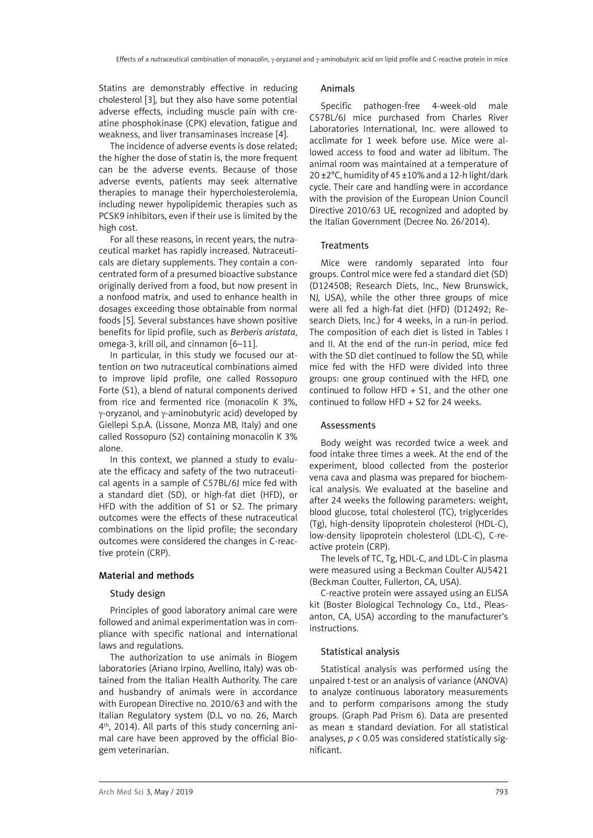Statins are demonstrably effective in reducing cholesterol [3], but they also have some potential adverse effects, including muscle pain with creatine phosphokinase (CPK) elevation, fatigue and weakness, and liver transaminases increase [4].

The incidence of adverse events is dose related; the higher the dose of statin is, the more frequent can be the adverse events. Because of those adverse events, patients may seek alternative therapies to manage their hypercholesterolemia, including newer hypolipidemic therapies such as PCSK9 inhibitors, even if their use is limited by the high cost.

For all these reasons, in recent years, the nutraceutical market has rapidly increased. Nutraceuticals are dietary supplements. They contain a concentrated form of a presumed bioactive substance originally derived from a food, but now present in a nonfood matrix, and used to enhance health in dosages exceeding those obtainable from normal foods [5]. Several substances have shown positive benefits for lipid profile, such as *Berberis aristata*, omega-3, krill oil, and cinnamon [6–11].

In particular, in this study we focused our attention on two nutraceutical combinations aimed to improve lipid profile, one called Rossopuro Forte (S1), a blend of natural components derived from rice and fermented rice (monacolin K 3%, γ-oryzanol, and γ-aminobutyric acid) developed by Giellepi S.p.A. (Lissone, Monza MB, Italy) and one called Rossopuro (S2) containing monacolin K 3% alone.

In this context, we planned a study to evaluate the efficacy and safety of the two nutraceutical agents in a sample of C57BL/6J mice fed with a standard diet (SD), or high-fat diet (HFD), or HFD with the addition of S1 or S2. The primary outcomes were the effects of these nutraceutical combinations on the lipid profile; the secondary outcomes were considered the changes in C-reactive protein (CRP).

# Material and methods

### Study design

Principles of good laboratory animal care were followed and animal experimentation was in compliance with specific national and international laws and regulations.

The authorization to use animals in Biogem laboratories (Ariano Irpino, Avellino, Italy) was obtained from the Italian Health Authority. The care and husbandry of animals were in accordance with European Directive no. 2010/63 and with the Italian Regulatory system (D.L. vo no. 26, March 4th, 2014). All parts of this study concerning animal care have been approved by the official Biogem veterinarian.

## Animals

Specific pathogen-free 4-week-old male C57BL/6J mice purchased from Charles River Laboratories International, Inc. were allowed to acclimate for 1 week before use. Mice were allowed access to food and water ad libitum. The animal room was maintained at a temperature of 20 ±2°C, humidity of 45 ±10% and a 12-h light/dark cycle. Their care and handling were in accordance with the provision of the European Union Council Directive 2010/63 UE, recognized and adopted by the Italian Government (Decree No. 26/2014).

## **Treatments**

Mice were randomly separated into four groups. Control mice were fed a standard diet (SD) (D12450B; Research Diets, Inc., New Brunswick, NJ, USA), while the other three groups of mice were all fed a high-fat diet (HFD) (D12492; Research Diets, Inc.) for 4 weeks, in a run-in period. The composition of each diet is listed in Tables I and II. At the end of the run-in period, mice fed with the SD diet continued to follow the SD, while mice fed with the HFD were divided into three groups: one group continued with the HFD, one continued to follow HFD  $+$  S1, and the other one continued to follow HFD + S2 for 24 weeks.

# Assessments

Body weight was recorded twice a week and food intake three times a week. At the end of the experiment, blood collected from the posterior vena cava and plasma was prepared for biochemical analysis. We evaluated at the baseline and after 24 weeks the following parameters: weight, blood glucose, total cholesterol (TC), triglycerides (Tg), high-density lipoprotein cholesterol (HDL-C), low-density lipoprotein cholesterol (LDL-C), C-reactive protein (CRP).

The levels of TC, Tg, HDL-C, and LDL-C in plasma were measured using a Beckman Coulter AU5421 (Beckman Coulter, Fullerton, CA, USA).

C-reactive protein were assayed using an ELISA kit (Boster Biological Technology Co., Ltd., Pleasanton, CA, USA) according to the manufacturer's instructions.

# Statistical analysis

Statistical analysis was performed using the unpaired t-test or an analysis of variance (ANOVA) to analyze continuous laboratory measurements and to perform comparisons among the study groups. (Graph Pad Prism 6). Data are presented as mean ± standard deviation. For all statistical analyses, *p* < 0.05 was considered statistically significant.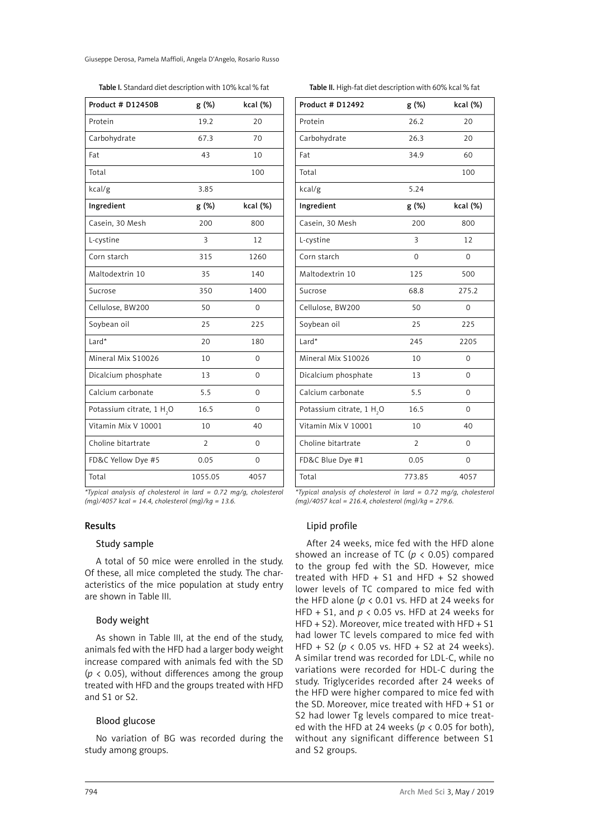Giuseppe Derosa, Pamela Maffioli, Angela D'Angelo, Rosario Russo

| Product # D12450B                     | g (%)          | kcal (%)       |  |  |
|---------------------------------------|----------------|----------------|--|--|
| Protein                               | 19.2           | 20             |  |  |
| Carbohydrate                          | 67.3           | 70             |  |  |
| Fat                                   | 43             | 10             |  |  |
| Total                                 |                | 100            |  |  |
| kcal/g                                | 3.85           |                |  |  |
| Ingredient                            | g (%)          | kcal (%)       |  |  |
| Casein, 30 Mesh                       | 200            | 800            |  |  |
| L-cystine                             | 3              | 12             |  |  |
| Corn starch                           | 315            | 1260           |  |  |
| Maltodextrin 10                       | 35             | 140            |  |  |
| Sucrose                               | 350            | 1400           |  |  |
| Cellulose, BW200                      | 50             | $\overline{0}$ |  |  |
| Soybean oil                           | 25             | 225            |  |  |
| Lard*                                 | 20             | 180            |  |  |
| Mineral Mix S10026                    | 10             | 0              |  |  |
| Dicalcium phosphate                   | 13             | $\Omega$       |  |  |
| Calcium carbonate                     | 5.5            | 0              |  |  |
| Potassium citrate, 1 H <sub>2</sub> O | 16.5           | 0              |  |  |
| Vitamin Mix V 10001                   | 10             | 40             |  |  |
| Choline bitartrate                    | $\overline{2}$ | 0              |  |  |
| FD&C Yellow Dye #5                    | 0.05           | 0              |  |  |
| Total                                 | 1055.05        | 4057           |  |  |

*\*Typical analysis of cholesterol in lard = 0.72 mg/g, cholesterol (mg)/4057 kcal = 14.4, cholesterol (mg)/kg = 13.6.*

### Results

### Study sample

A total of 50 mice were enrolled in the study. Of these, all mice completed the study. The characteristics of the mice population at study entry are shown in Table III.

# Body weight

As shown in Table III, at the end of the study, animals fed with the HFD had a larger body weight increase compared with animals fed with the SD  $(p \lt 0.05)$ , without differences among the group treated with HFD and the groups treated with HFD and S1 or S2.

# Blood glucose

No variation of BG was recorded during the study among groups.

| Product # D12492    | g (%) | kcal (%) |  |
|---------------------|-------|----------|--|
| Protein             | 26.2  | 20       |  |
| Carbohydrate        | 26.3  | 20       |  |
| Fat                 | 34.9  | 60       |  |
| Total               |       | 100      |  |
| kcal/g              | 5.24  |          |  |
| Ingredient          | g (%) | kcal (%) |  |
| Casein, 30 Mesh     | 200   | 800      |  |
| L-cystine           | 3     | 12       |  |
| Corn starch         | 0     | 0        |  |
| Maltodextrin 10     | 125   | 500      |  |
| Sucrose             | 68.8  | 275.2    |  |
| Cellulose, BW200    | 50    | 0        |  |
| Soybean oil         | 25    | 225      |  |
| Lard*               | 245   | 2205     |  |
| Mineral Mix S10026  | 10    | 0        |  |
| Dicalcium phosphate | 13    | 0        |  |

Table II. High-fat diet description with 60% kcal % fat

*\*Typical analysis of cholesterol in lard = 0.72 mg/g, cholesterol (mg)/4057 kcal = 216.4, cholesterol (mg)/kg = 279.6.*

Calcium carbonate 5.5 0

Vitamin Mix V 10001 10 40 Choline bitartrate 2 0 FD&C Blue Dye #1 0.05 0 Total 773.85 4057

 $16.5$  0

# Lipid profile

Potassium citrate, 1 H<sub>2</sub>O

After 24 weeks, mice fed with the HFD alone showed an increase of TC (*p* < 0.05) compared to the group fed with the SD. However, mice treated with HFD  $+$  S1 and HFD  $+$  S2 showed lower levels of TC compared to mice fed with the HFD alone (*p* < 0.01 vs. HFD at 24 weeks for HFD + S1, and *p* < 0.05 vs. HFD at 24 weeks for HFD + S2). Moreover, mice treated with HFD + S1 had lower TC levels compared to mice fed with HFD + S2 (*p* < 0.05 vs. HFD + S2 at 24 weeks). A similar trend was recorded for LDL-C, while no variations were recorded for HDL-C during the study. Triglycerides recorded after 24 weeks of the HFD were higher compared to mice fed with the SD. Moreover, mice treated with HFD + S1 or S2 had lower Tg levels compared to mice treated with the HFD at 24 weeks ( $p < 0.05$  for both), without any significant difference between S1 and S2 groups.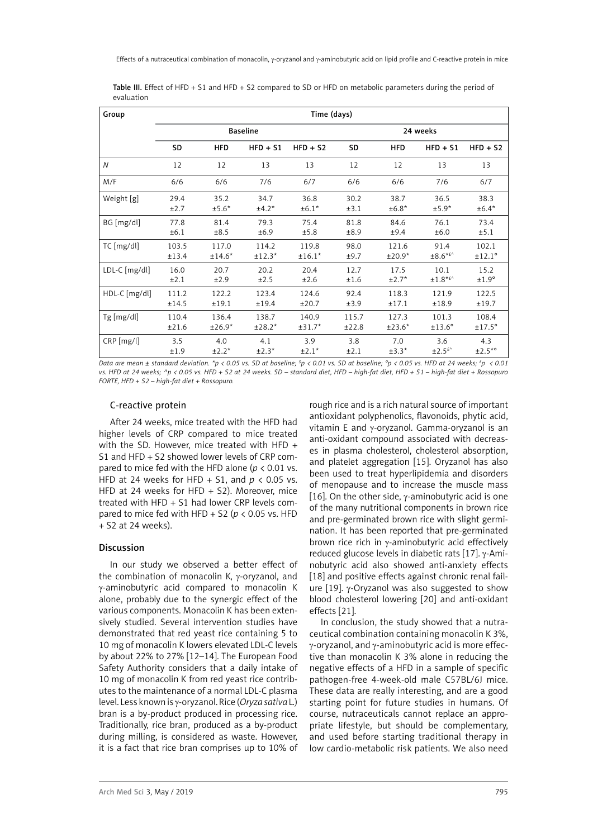| Group         | Time (days) |                 |            |            |          |            |                           |               |
|---------------|-------------|-----------------|------------|------------|----------|------------|---------------------------|---------------|
|               |             | <b>Baseline</b> |            |            | 24 weeks |            |                           |               |
|               | SD          | <b>HFD</b>      | $HFD + S1$ | $HFD + S2$ | SD       | <b>HFD</b> | $HFD + S1$                | $HFD + S2$    |
| N             | 12          | 12              | 13         | 13         | 12       | 12         | 13                        | 13            |
| M/F           | 6/6         | 6/6             | 7/6        | 6/7        | 6/6      | 6/6        | 7/6                       | 6/7           |
| Weight [g]    | 29.4        | 35.2            | 34.7       | 36.8       | 30.2     | 38.7       | 36.5                      | 38.3          |
|               | ±2.7        | $±5.6*$         | $±4.2*$    | $±6.1*$    | ±3.1     | $±6.8*$    | $±5.9*$                   | $±6.4*$       |
| $BG$ [mg/dl]  | 77.8        | 81.4            | 79.3       | 75.4       | 81.8     | 84.6       | 76.1                      | 73.4          |
|               | ±6.1        | ±8.5            | ±6.9       | ±5.8       | ±8.9     | ±9.4       | ±6.0                      | ±5.1          |
| $TC$ [mg/dl]  | 103.5       | 117.0           | 114.2      | 119.8      | 98.0     | 121.6      | 91.4                      | 102.1         |
|               | ±13.4       | $±14.6*$        | $±12.3*$   | $±16.1*$   | ±9.7     | $±20.9*$   | $\pm 8.6$ * <sup>£^</sup> | ±12.1°        |
| LDL-C [mg/dl] | 16.0        | 20.7            | 20.2       | 20.4       | 12.7     | 17.5       | 10.1                      | 15.2          |
|               | ±2.1        | ±2.9            | ±2.5       | ±2.6       | ±1.6     | $±2.7*$    | $±1.8**$                  | $±1.9^\circ$  |
| HDL-C [mg/dl] | 111.2       | 122.2           | 123.4      | 124.6      | 92.4     | 118.3      | 121.9                     | 122.5         |
|               | ±14.5       | ±19.1           | ±19.4      | ±20.7      | ±3.9     | ±17.1      | ±18.9                     | ±19.7         |
| $Tg$ [mg/dl]  | 110.4       | 136.4           | 138.7      | 140.9      | 115.7    | 127.3      | 101.3                     | 108.4         |
|               | ±21.6       | $±26.9*$        | $±28.2*$   | $±31.7*$   | ±22.8    | $±23.6*$   | $±13.6^\circ$             | $±17.5^\circ$ |
| CRP [mg/l]    | 3.5         | 4.0             | 4.1        | 3.9        | 3.8      | 7.0        | 3.6                       | 4.3           |
|               | ±1.9        | $±2.2*$         | $±2.3*$    | $±2.1*$    | ±2.1     | $±3.3*$    | $\pm 2.5$ <sup>f</sup>    | $±2.5^{*o}$   |

Table III. Effect of HFD + S1 and HFD + S2 compared to SD or HFD on metabolic parameters during the period of evaluation

*Data are mean ± standard deviation. \*p < 0.05 vs. SD at baseline; \$ p < 0.01 vs. SD at baseline; °p < 0.05 vs. HFD at 24 weeks; £ p < 0.01 vs. HFD at 24 weeks; ^p < 0.05 vs. HFD + S2 at 24 weeks. SD – standard diet, HFD – high-fat diet, HFD + S1 – high-fat diet + Rossopuro FORTE, HFD + S2 – high-fat diet + Rossopuro.*

#### C-reactive protein

After 24 weeks, mice treated with the HFD had higher levels of CRP compared to mice treated with the SD. However, mice treated with HFD + S1 and HFD + S2 showed lower levels of CRP compared to mice fed with the HFD alone (*p* < 0.01 vs. HFD at 24 weeks for HFD + S1, and *p* < 0.05 vs. HFD at 24 weeks for HFD + S2). Moreover, mice treated with HFD + S1 had lower CRP levels compared to mice fed with HFD + S2 (*p* < 0.05 vs. HFD + S2 at 24 weeks).

### Discussion

In our study we observed a better effect of the combination of monacolin K, γ-oryzanol, and γ-aminobutyric acid compared to monacolin K alone, probably due to the synergic effect of the various components. Monacolin K has been extensively studied. Several intervention studies have demonstrated that red yeast rice containing 5 to 10 mg of monacolin K lowers elevated LDL-C levels by about 22% to 27% [12–14]. The European Food Safety Authority considers that a daily intake of 10 mg of monacolin K from red yeast rice contributes to the maintenance of a normal LDL-C plasma level. Less known is γ-oryzanol. Rice (*Oryza sativa* L.) bran is a by-product produced in processing rice. Traditionally, rice bran, produced as a by-product during milling, is considered as waste. However, it is a fact that rice bran comprises up to 10% of

rough rice and is a rich natural source of important antioxidant polyphenolics, flavonoids, phytic acid, vitamin E and γ-oryzanol. Gamma-oryzanol is an anti-oxidant compound associated with decreases in plasma cholesterol, cholesterol absorption, and platelet aggregation [15]. Oryzanol has also been used to treat hyperlipidemia and disorders of menopause and to increase the muscle mass [16]. On the other side,  $\gamma$ -aminobutyric acid is one of the many nutritional components in brown rice and pre-germinated brown rice with slight germination. It has been reported that pre-germinated brown rice rich in v-aminobutyric acid effectively reduced glucose levels in diabetic rats [17]. γ-Aminobutyric acid also showed anti-anxiety effects [18] and positive effects against chronic renal failure  $[19]$ .  $\gamma$ -Oryzanol was also suggested to show blood cholesterol lowering [20] and anti-oxidant effects [21].

In conclusion, the study showed that a nutraceutical combination containing monacolin K 3%, γ-oryzanol, and γ-aminobutyric acid is more effective than monacolin K 3% alone in reducing the negative effects of a HFD in a sample of specific pathogen-free 4-week-old male C57BL/6J mice. These data are really interesting, and are a good starting point for future studies in humans. Of course, nutraceuticals cannot replace an appropriate lifestyle, but should be complementary, and used before starting traditional therapy in low cardio-metabolic risk patients. We also need